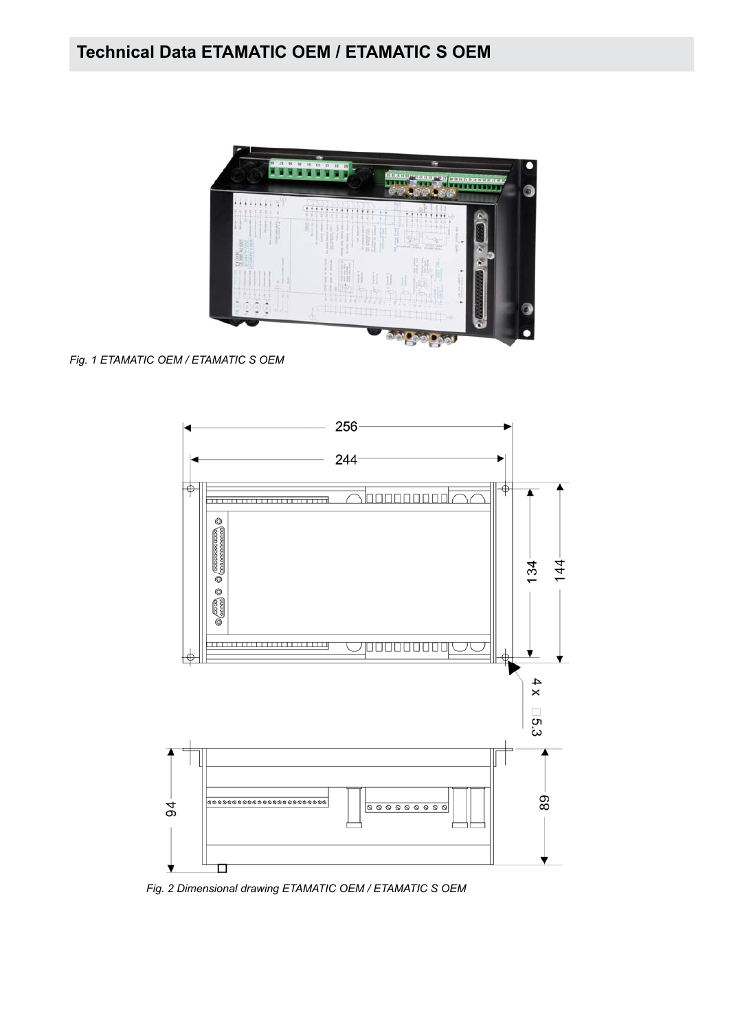

*Fig. 1 ETAMATIC OEM / ETAMATIC S OEM*



*Fig. 2 Dimensional drawing ETAMATIC OEM / ETAMATIC S OEM*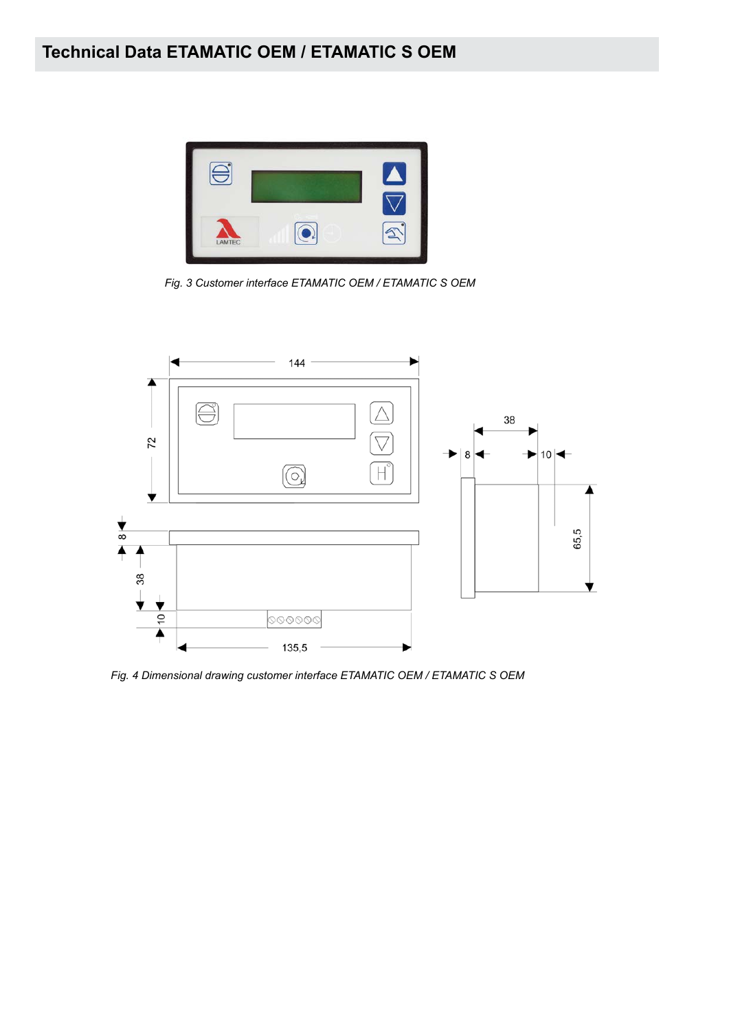

*Fig. 3 Customer interface ETAMATIC OEM / ETAMATIC S OEM*



*Fig. 4 Dimensional drawing customer interface ETAMATIC OEM / ETAMATIC S OEM*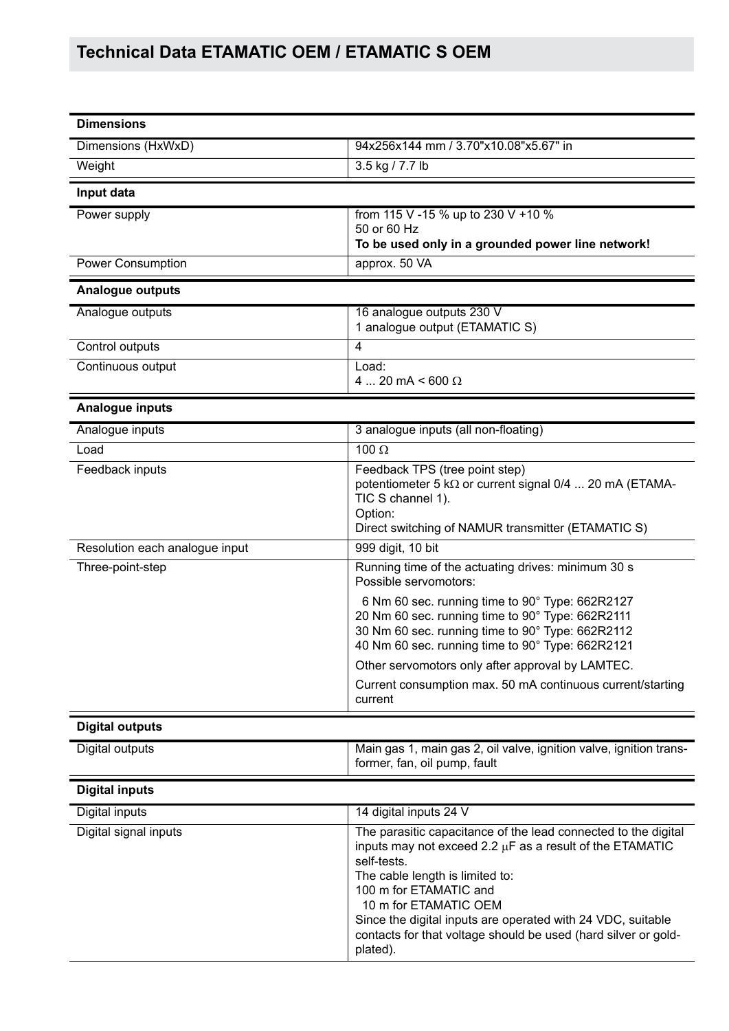| <b>Dimensions</b>              |                                                                                                                                                                                                                                                                                                                                                                              |
|--------------------------------|------------------------------------------------------------------------------------------------------------------------------------------------------------------------------------------------------------------------------------------------------------------------------------------------------------------------------------------------------------------------------|
| Dimensions (HxWxD)             | 94x256x144 mm / 3.70"x10.08"x5.67" in                                                                                                                                                                                                                                                                                                                                        |
| Weight                         | 3.5 kg / 7.7 lb                                                                                                                                                                                                                                                                                                                                                              |
|                                |                                                                                                                                                                                                                                                                                                                                                                              |
| Input data                     |                                                                                                                                                                                                                                                                                                                                                                              |
| Power supply                   | from 115 V -15 % up to 230 V +10 %<br>50 or 60 Hz<br>To be used only in a grounded power line network!                                                                                                                                                                                                                                                                       |
| <b>Power Consumption</b>       | approx. 50 VA                                                                                                                                                                                                                                                                                                                                                                |
| <b>Analogue outputs</b>        |                                                                                                                                                                                                                                                                                                                                                                              |
| Analogue outputs               | 16 analogue outputs 230 V                                                                                                                                                                                                                                                                                                                                                    |
|                                | 1 analogue output (ETAMATIC S)                                                                                                                                                                                                                                                                                                                                               |
| Control outputs                | $\overline{4}$                                                                                                                                                                                                                                                                                                                                                               |
| Continuous output              | Load:<br>4  20 mA < 600 $\Omega$                                                                                                                                                                                                                                                                                                                                             |
| Analogue inputs                |                                                                                                                                                                                                                                                                                                                                                                              |
| Analogue inputs                | 3 analogue inputs (all non-floating)                                                                                                                                                                                                                                                                                                                                         |
| Load                           | 100 $\Omega$                                                                                                                                                                                                                                                                                                                                                                 |
| Feedback inputs                | Feedback TPS (tree point step)<br>potentiometer 5 kΩ or current signal 0/4  20 mA (ETAMA-<br>TIC S channel 1).<br>Option:<br>Direct switching of NAMUR transmitter (ETAMATIC S)                                                                                                                                                                                              |
| Resolution each analogue input | 999 digit, 10 bit                                                                                                                                                                                                                                                                                                                                                            |
| Three-point-step               | Running time of the actuating drives: minimum 30 s<br>Possible servomotors:                                                                                                                                                                                                                                                                                                  |
|                                | 6 Nm 60 sec. running time to 90° Type: 662R2127<br>20 Nm 60 sec. running time to 90° Type: 662R2111<br>30 Nm 60 sec. running time to 90° Type: 662R2112<br>40 Nm 60 sec. running time to 90° Type: 662R2121                                                                                                                                                                  |
|                                | Other servomotors only after approval by LAMTEC.                                                                                                                                                                                                                                                                                                                             |
|                                | Current consumption max. 50 mA continuous current/starting<br>current                                                                                                                                                                                                                                                                                                        |
| <b>Digital outputs</b>         |                                                                                                                                                                                                                                                                                                                                                                              |
| Digital outputs                | Main gas 1, main gas 2, oil valve, ignition valve, ignition trans-<br>former, fan, oil pump, fault                                                                                                                                                                                                                                                                           |
| <b>Digital inputs</b>          |                                                                                                                                                                                                                                                                                                                                                                              |
| Digital inputs                 | 14 digital inputs 24 V                                                                                                                                                                                                                                                                                                                                                       |
| Digital signal inputs          | The parasitic capacitance of the lead connected to the digital<br>inputs may not exceed 2.2 µF as a result of the ETAMATIC<br>self-tests.<br>The cable length is limited to:<br>100 m for ETAMATIC and<br>10 m for ETAMATIC OEM<br>Since the digital inputs are operated with 24 VDC, suitable<br>contacts for that voltage should be used (hard silver or gold-<br>plated). |
|                                |                                                                                                                                                                                                                                                                                                                                                                              |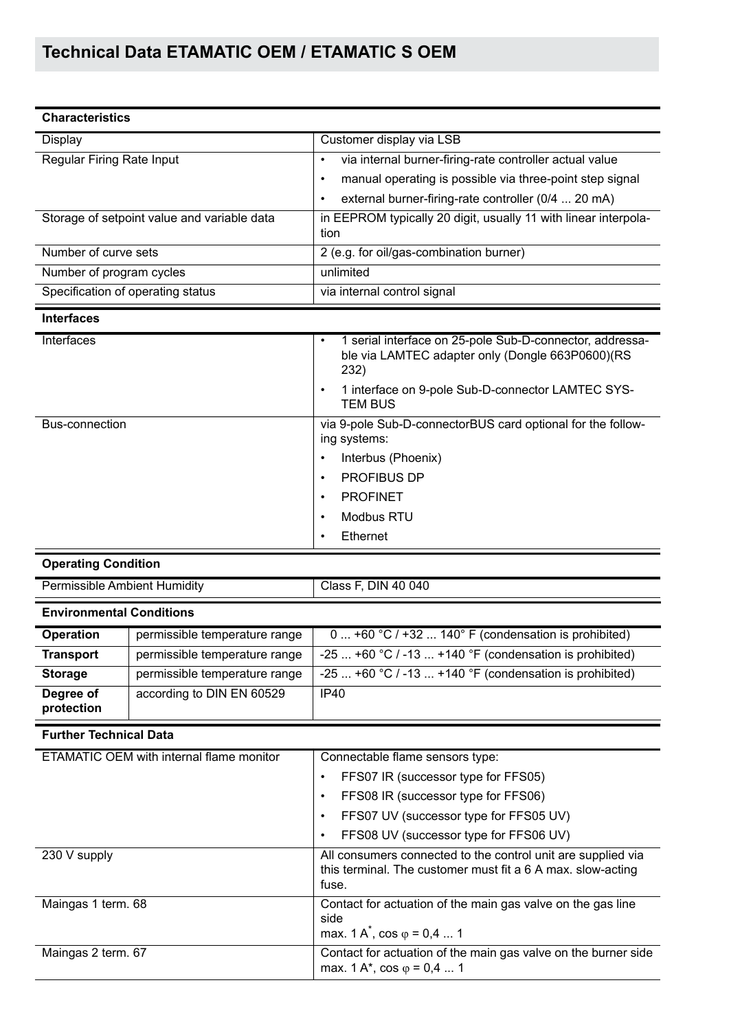| <b>Characteristics</b>                      |                                                                                                                                                                                           |
|---------------------------------------------|-------------------------------------------------------------------------------------------------------------------------------------------------------------------------------------------|
| Display                                     | Customer display via LSB                                                                                                                                                                  |
| Regular Firing Rate Input                   | via internal burner-firing-rate controller actual value<br>٠<br>manual operating is possible via three-point step signal<br>٠<br>external burner-firing-rate controller (0/4  20 mA)<br>٠ |
| Storage of setpoint value and variable data | in EEPROM typically 20 digit, usually 11 with linear interpola-<br>tion                                                                                                                   |
| Number of curve sets                        | 2 (e.g. for oil/gas-combination burner)                                                                                                                                                   |
| Number of program cycles                    | unlimited                                                                                                                                                                                 |
| Specification of operating status           | via internal control signal                                                                                                                                                               |
| <b>Interfaces</b>                           |                                                                                                                                                                                           |
| Intarfaces                                  | 1 serial interface on 25-pole Sub-D-connector addresses<br>$\bullet$                                                                                                                      |

| mienaces       | T serial interface on 25-pole Sub-D-connector, addressa-<br>ble via LAMTEC adapter only (Dongle 663P0600)(RS<br>232) |  |  |
|----------------|----------------------------------------------------------------------------------------------------------------------|--|--|
|                | 1 interface on 9-pole Sub-D-connector LAMTEC SYS-<br>$\bullet$<br><b>TEM BUS</b>                                     |  |  |
| Bus-connection | via 9-pole Sub-D-connectorBUS card optional for the follow-<br>ing systems:                                          |  |  |
|                | Interbus (Phoenix)<br>٠                                                                                              |  |  |
|                | <b>PROFIBUS DP</b><br>$\bullet$                                                                                      |  |  |
|                | <b>PROFINET</b><br>$\bullet$                                                                                         |  |  |
|                | Modbus RTU<br>$\bullet$                                                                                              |  |  |
|                | Ethernet<br>$\bullet$                                                                                                |  |  |

### **Operating Condition**

| <b>Permissible Ambient Humidity</b> |                               | Class F, DIN 40 040                                     |
|-------------------------------------|-------------------------------|---------------------------------------------------------|
| <b>Environmental Conditions</b>     |                               |                                                         |
| <b>Operation</b>                    | permissible temperature range | 0  +60 °C / +32  140° F (condensation is prohibited)    |
| <b>Transport</b>                    | permissible temperature range | -25  +60 °C / -13  +140 °F (condensation is prohibited) |
| <b>Storage</b>                      | permissible temperature range | -25  +60 °C / -13  +140 °F (condensation is prohibited) |
| Degree of<br>protection             | according to DIN EN 60529     | IP40                                                    |

#### **Further Technical Data**

| ETAMATIC OEM with internal flame monitor | Connectable flame sensors type:                                                                                                      |  |
|------------------------------------------|--------------------------------------------------------------------------------------------------------------------------------------|--|
|                                          | FFS07 IR (successor type for FFS05)<br>$\bullet$                                                                                     |  |
|                                          | FFS08 IR (successor type for FFS06)<br>$\bullet$                                                                                     |  |
|                                          | FFS07 UV (successor type for FFS05 UV)<br>$\bullet$                                                                                  |  |
|                                          | FFS08 UV (successor type for FFS06 UV)<br>$\bullet$                                                                                  |  |
| 230 V supply                             | All consumers connected to the control unit are supplied via<br>this terminal. The customer must fit a 6 A max. slow-acting<br>fuse. |  |
| Maingas 1 term. 68                       | Contact for actuation of the main gas valve on the gas line                                                                          |  |
|                                          | side<br>max. $1 \text{ A}^*$ , cos $\varphi = 0.4 \dots 1$                                                                           |  |
| Maingas 2 term. 67                       | Contact for actuation of the main gas valve on the burner side<br>max. 1 A*, cos $\varphi$ = 0,4  1                                  |  |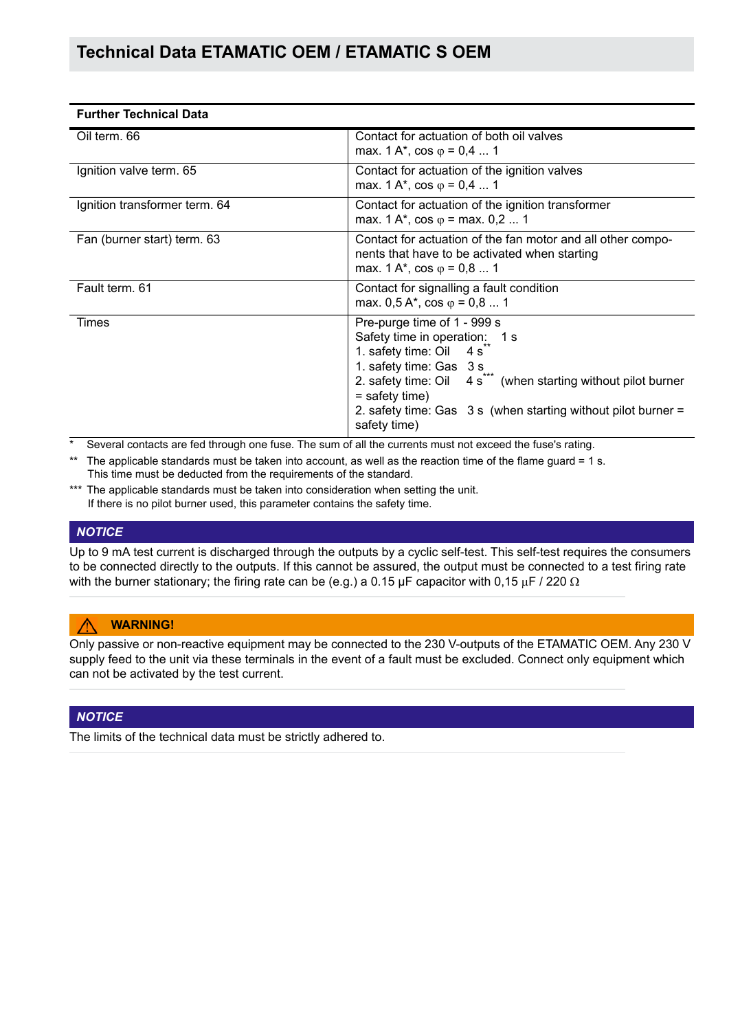| <b>Further Technical Data</b> |                                                                                                                                                                                                                                                                                                                                   |  |
|-------------------------------|-----------------------------------------------------------------------------------------------------------------------------------------------------------------------------------------------------------------------------------------------------------------------------------------------------------------------------------|--|
| Oil term. 66                  | Contact for actuation of both oil valves<br>max. 1 A*, cos $\varphi$ = 0,4  1                                                                                                                                                                                                                                                     |  |
| Ignition valve term. 65       | Contact for actuation of the ignition valves<br>max. 1 A*, cos $\varphi$ = 0,4  1                                                                                                                                                                                                                                                 |  |
| Ignition transformer term. 64 | Contact for actuation of the ignition transformer<br>max. 1 A*, cos $\varphi$ = max. 0,2  1                                                                                                                                                                                                                                       |  |
| Fan (burner start) term. 63   | Contact for actuation of the fan motor and all other compo-<br>nents that have to be activated when starting<br>max. 1 A*, cos $\varphi$ = 0,8  1                                                                                                                                                                                 |  |
| Fault term, 61                | Contact for signalling a fault condition<br>max. $0.5 A^*$ , cos $\varphi = 0.8  1$                                                                                                                                                                                                                                               |  |
| Times                         | Pre-purge time of 1 - 999 s<br>Safety time in operation: 1 s<br>1. safety time: Oil<br>4s<br>1. safety time: Gas 3 s<br>2. safety time: Oil $\,$ 4 s <sup><math>\,\tilde{ }</math></sup> (when starting without pilot burner<br>$=$ safety time)<br>2. safety time: Gas 3 s (when starting without pilot burner =<br>safety time) |  |

Several contacts are fed through one fuse. The sum of all the currents must not exceed the fuse's rating.

- \*\* The applicable standards must be taken into account, as well as the reaction time of the flame guard = 1 s. This time must be deducted from the requirements of the standard.
- \*\*\* The applicable standards must be taken into consideration when setting the unit. If there is no pilot burner used, this parameter contains the safety time.

#### *NOTICE*

Up to 9 mA test current is discharged through the outputs by a cyclic self-test. This self-test requires the consumers to be connected directly to the outputs. If this cannot be assured, the output must be connected to a test firing rate with the burner stationary; the firing rate can be (e.g.) a 0.15 µF capacitor with 0,15 µF / 220  $\Omega$ 

#### **WARNING!**

Only passive or non-reactive equipment may be connected to the 230 V-outputs of the ETAMATIC OEM. Any 230 V supply feed to the unit via these terminals in the event of a fault must be excluded. Connect only equipment which can not be activated by the test current.

#### *NOTICE*

The limits of the technical data must be strictly adhered to.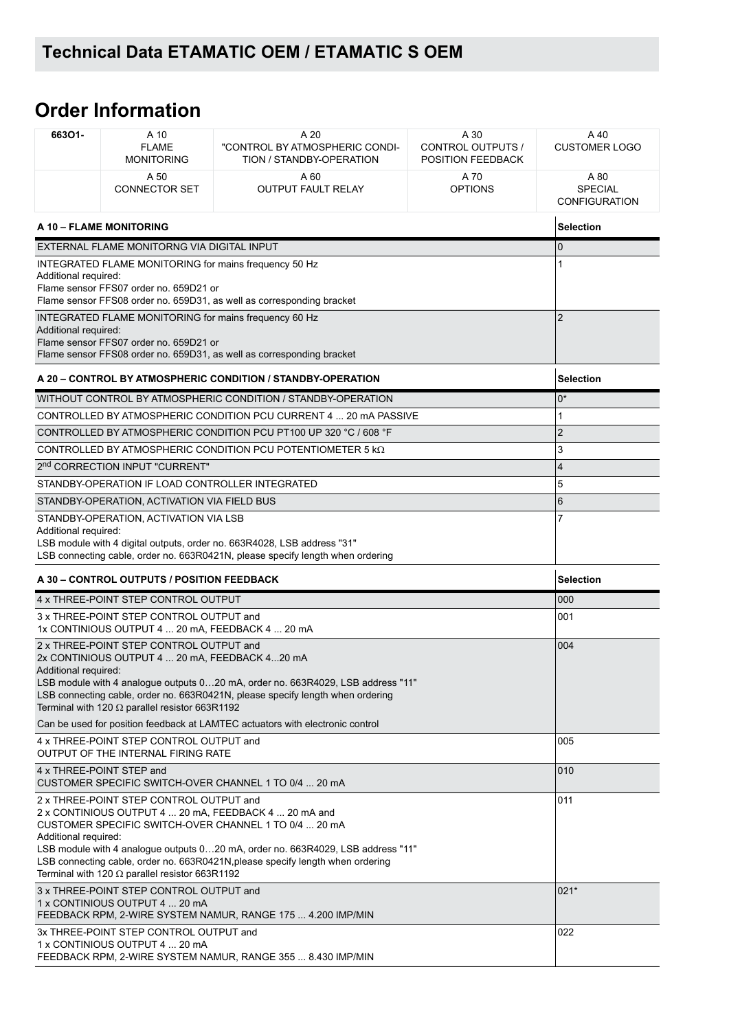# **Order Information**

| 66301-                                                                                                                                   | A 10<br><b>FLAME</b><br><b>MONITORING</b>                                                                                                          | A 20<br>"CONTROL BY ATMOSPHERIC CONDI-<br>TION / STANDBY-OPERATION                                                                                                                                                                                                                  | A 30<br>CONTROL OUTPUTS /<br>POSITION FEEDBACK | A 40<br><b>CUSTOMER LOGO</b>                   |
|------------------------------------------------------------------------------------------------------------------------------------------|----------------------------------------------------------------------------------------------------------------------------------------------------|-------------------------------------------------------------------------------------------------------------------------------------------------------------------------------------------------------------------------------------------------------------------------------------|------------------------------------------------|------------------------------------------------|
|                                                                                                                                          | A 50<br><b>CONNECTOR SET</b>                                                                                                                       | A 60<br><b>OUTPUT FAULT RELAY</b>                                                                                                                                                                                                                                                   | A 70<br><b>OPTIONS</b>                         | A 80<br><b>SPECIAL</b><br><b>CONFIGURATION</b> |
| A 10 - FLAME MONITORING                                                                                                                  |                                                                                                                                                    |                                                                                                                                                                                                                                                                                     |                                                | <b>Selection</b>                               |
|                                                                                                                                          | EXTERNAL FLAME MONITORNG VIA DIGITAL INPUT                                                                                                         |                                                                                                                                                                                                                                                                                     |                                                | $\Omega$                                       |
| Additional required:                                                                                                                     | INTEGRATED FLAME MONITORING for mains frequency 50 Hz<br>Flame sensor FFS07 order no. 659D21 or                                                    | Flame sensor FFS08 order no. 659D31, as well as corresponding bracket                                                                                                                                                                                                               |                                                |                                                |
| Additional required:                                                                                                                     | INTEGRATED FLAME MONITORING for mains frequency 60 Hz<br>Flame sensor FFS07 order no. 659D21 or                                                    | Flame sensor FFS08 order no. 659D31, as well as corresponding bracket                                                                                                                                                                                                               |                                                | $\overline{2}$                                 |
|                                                                                                                                          |                                                                                                                                                    | A 20 - CONTROL BY ATMOSPHERIC CONDITION / STANDBY-OPERATION                                                                                                                                                                                                                         |                                                | <b>Selection</b>                               |
|                                                                                                                                          |                                                                                                                                                    | WITHOUT CONTROL BY ATMOSPHERIC CONDITION / STANDBY-OPERATION                                                                                                                                                                                                                        |                                                | 0*                                             |
|                                                                                                                                          |                                                                                                                                                    | CONTROLLED BY ATMOSPHERIC CONDITION PCU CURRENT 4  20 MA PASSIVE                                                                                                                                                                                                                    |                                                | 1                                              |
|                                                                                                                                          |                                                                                                                                                    | CONTROLLED BY ATMOSPHERIC CONDITION PCU PT100 UP 320 °C / 608 °F                                                                                                                                                                                                                    |                                                | $\overline{2}$                                 |
|                                                                                                                                          |                                                                                                                                                    | CONTROLLED BY ATMOSPHERIC CONDITION PCU POTENTIOMETER 5 $k\Omega$                                                                                                                                                                                                                   |                                                | 3                                              |
|                                                                                                                                          | 2 <sup>nd</sup> CORRECTION INPUT "CURRENT"                                                                                                         |                                                                                                                                                                                                                                                                                     |                                                | $\overline{\mathbf{4}}$                        |
|                                                                                                                                          | STANDBY-OPERATION IF LOAD CONTROLLER INTEGRATED                                                                                                    |                                                                                                                                                                                                                                                                                     |                                                | 5                                              |
|                                                                                                                                          | STANDBY-OPERATION, ACTIVATION VIA FIELD BUS                                                                                                        |                                                                                                                                                                                                                                                                                     |                                                | 6                                              |
| Additional required:                                                                                                                     | STANDBY-OPERATION, ACTIVATION VIA LSB                                                                                                              | LSB module with 4 digital outputs, order no. 663R4028, LSB address "31"<br>LSB connecting cable, order no. 663R0421N, please specify length when ordering                                                                                                                           |                                                | 7                                              |
| A 30 - CONTROL OUTPUTS / POSITION FEEDBACK                                                                                               |                                                                                                                                                    |                                                                                                                                                                                                                                                                                     |                                                | <b>Selection</b>                               |
|                                                                                                                                          | 4 x THREE-POINT STEP CONTROL OUTPUT                                                                                                                |                                                                                                                                                                                                                                                                                     |                                                | 000                                            |
|                                                                                                                                          | 3 x THREE-POINT STEP CONTROL OUTPUT and<br>1x CONTINIOUS OUTPUT 4  20 mA, FEEDBACK 4  20 mA                                                        |                                                                                                                                                                                                                                                                                     |                                                | 001                                            |
| Additional required:                                                                                                                     | 2 x THREE-POINT STEP CONTROL OUTPUT and<br>2x CONTINIOUS OUTPUT 4  20 mA, FEEDBACK 420 mA<br>Terminal with 120 $\Omega$ parallel resistor 663R1192 | LSB module with 4 analogue outputs 020 mA, order no. 663R4029, LSB address "11"<br>LSB connecting cable, order no. 663R0421N, please specify length when ordering                                                                                                                   |                                                | 004                                            |
|                                                                                                                                          |                                                                                                                                                    | Can be used for position feedback at LAMTEC actuators with electronic control                                                                                                                                                                                                       |                                                |                                                |
| 4 x THREE-POINT STEP CONTROL OUTPUT and<br>OUTPUT OF THE INTERNAL FIRING RATE                                                            |                                                                                                                                                    |                                                                                                                                                                                                                                                                                     | 005                                            |                                                |
|                                                                                                                                          | 4 x THREE-POINT STEP and                                                                                                                           | CUSTOMER SPECIFIC SWITCH-OVER CHANNEL 1 TO 0/4  20 mA                                                                                                                                                                                                                               |                                                | 010                                            |
| Additional required:                                                                                                                     | 2 x THREE-POINT STEP CONTROL OUTPUT and<br>Terminal with 120 $\Omega$ parallel resistor 663R1192                                                   | 2 x CONTINIOUS OUTPUT 4  20 mA, FEEDBACK 4  20 mA and<br>CUSTOMER SPECIFIC SWITCH-OVER CHANNEL 1 TO 0/4  20 mA<br>LSB module with 4 analogue outputs 020 mA, order no. 663R4029, LSB address "11"<br>LSB connecting cable, order no. 663R0421N, please specify length when ordering |                                                | 011                                            |
| 3 x THREE-POINT STEP CONTROL OUTPUT and<br>1 x CONTINIOUS OUTPUT 4  20 mA<br>FEEDBACK RPM, 2-WIRE SYSTEM NAMUR, RANGE 175  4.200 IMP/MIN |                                                                                                                                                    |                                                                                                                                                                                                                                                                                     | $021*$                                         |                                                |
|                                                                                                                                          | 3x THREE-POINT STEP CONTROL OUTPUT and<br>1 x CONTINIOUS OUTPUT 4  20 mA                                                                           | FEEDBACK RPM, 2-WIRE SYSTEM NAMUR, RANGE 355  8.430 IMP/MIN                                                                                                                                                                                                                         |                                                | 022                                            |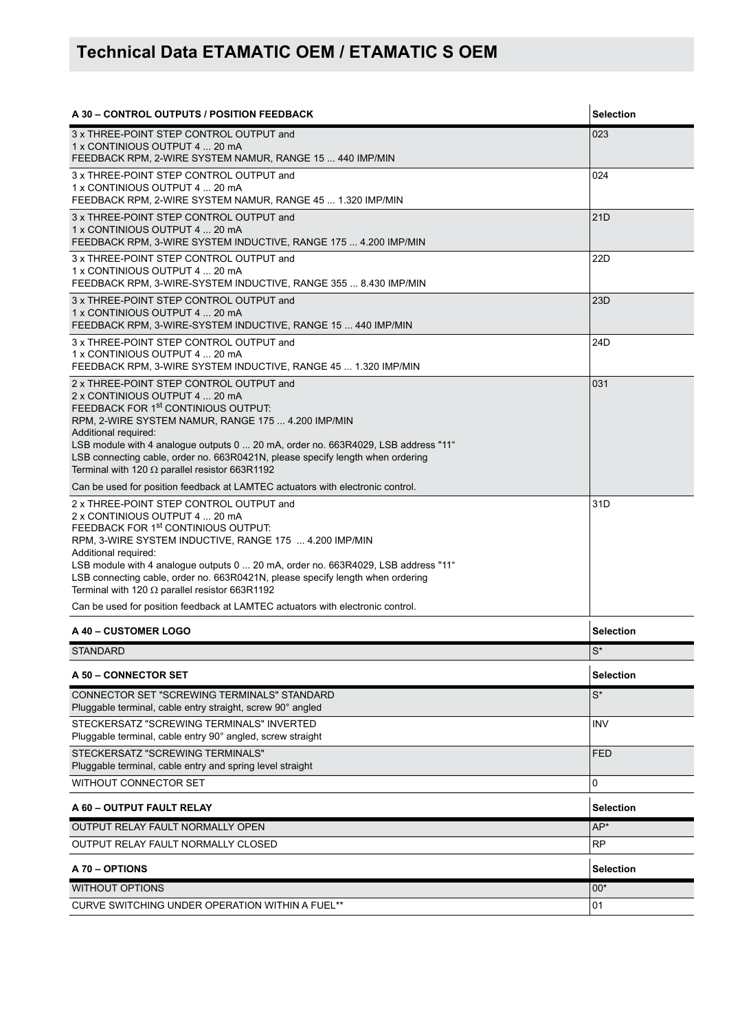| A 30 - CONTROL OUTPUTS / POSITION FEEDBACK                                                                                                                                                                                                                                                                                                                                                                                                                                                                                   | <b>Selection</b>     |
|------------------------------------------------------------------------------------------------------------------------------------------------------------------------------------------------------------------------------------------------------------------------------------------------------------------------------------------------------------------------------------------------------------------------------------------------------------------------------------------------------------------------------|----------------------|
| 3 x THREE-POINT STEP CONTROL OUTPUT and<br>1 x CONTINIOUS OUTPUT 4  20 mA<br>FEEDBACK RPM, 2-WIRE SYSTEM NAMUR, RANGE 15  440 IMP/MIN                                                                                                                                                                                                                                                                                                                                                                                        | 023                  |
| 3 x THREE-POINT STEP CONTROL OUTPUT and<br>1 x CONTINIOUS OUTPUT 4  20 mA<br>FEEDBACK RPM, 2-WIRE SYSTEM NAMUR, RANGE 45  1.320 IMP/MIN                                                                                                                                                                                                                                                                                                                                                                                      | 024                  |
| 3 x THREE-POINT STEP CONTROL OUTPUT and<br>1 x CONTINIOUS OUTPUT 4  20 mA<br>FEEDBACK RPM, 3-WIRE SYSTEM INDUCTIVE, RANGE 175  4.200 IMP/MIN                                                                                                                                                                                                                                                                                                                                                                                 | 21D                  |
| 3 x THREE-POINT STEP CONTROL OUTPUT and<br>1 x CONTINIOUS OUTPUT 4  20 mA<br>FEEDBACK RPM, 3-WIRE-SYSTEM INDUCTIVE, RANGE 355  8.430 IMP/MIN                                                                                                                                                                                                                                                                                                                                                                                 | 22D                  |
| 3 x THREE-POINT STEP CONTROL OUTPUT and<br>1 x CONTINIOUS OUTPUT 4  20 mA<br>FEEDBACK RPM, 3-WIRE-SYSTEM INDUCTIVE, RANGE 15  440 IMP/MIN                                                                                                                                                                                                                                                                                                                                                                                    | 23D                  |
| 3 x THREE-POINT STEP CONTROL OUTPUT and<br>1 x CONTINIOUS OUTPUT 4  20 mA<br>FEEDBACK RPM, 3-WIRE SYSTEM INDUCTIVE, RANGE 45  1.320 IMP/MIN                                                                                                                                                                                                                                                                                                                                                                                  | 24D                  |
| 2 x THREE-POINT STEP CONTROL OUTPUT and<br>2 x CONTINIOUS OUTPUT 4  20 mA<br>FEEDBACK FOR 1 <sup>st</sup> CONTINIOUS OUTPUT:<br>RPM, 2-WIRE SYSTEM NAMUR, RANGE 175  4.200 IMP/MIN<br>Additional required:<br>LSB module with 4 analogue outputs 0  20 mA, order no. 663R4029, LSB address "11"<br>LSB connecting cable, order no. 663R0421N, please specify length when ordering<br>Terminal with 120 $\Omega$ parallel resistor 663R1192<br>Can be used for position feedback at LAMTEC actuators with electronic control. | 031                  |
| 2 x THREE-POINT STEP CONTROL OUTPUT and                                                                                                                                                                                                                                                                                                                                                                                                                                                                                      | 31D                  |
| 2 x CONTINIOUS OUTPUT 4  20 mA<br>FEEDBACK FOR 1st CONTINIOUS OUTPUT:<br>RPM, 3-WIRE SYSTEM INDUCTIVE, RANGE 175  4.200 IMP/MIN<br>Additional required:<br>LSB module with 4 analogue outputs 0  20 mA, order no. 663R4029, LSB address "11"<br>LSB connecting cable, order no. 663R0421N, please specify length when ordering<br>Terminal with 120 $\Omega$ parallel resistor 663R1192                                                                                                                                      |                      |
| Can be used for position feedback at LAMTEC actuators with electronic control.                                                                                                                                                                                                                                                                                                                                                                                                                                               |                      |
| A 40 - CUSTOMER LOGO                                                                                                                                                                                                                                                                                                                                                                                                                                                                                                         | <b>Selection</b>     |
| <b>STANDARD</b>                                                                                                                                                                                                                                                                                                                                                                                                                                                                                                              | $\mathsf{S}^{\star}$ |
| A 50 - CONNECTOR SET                                                                                                                                                                                                                                                                                                                                                                                                                                                                                                         | <b>Selection</b>     |
| CONNECTOR SET "SCREWING TERMINALS" STANDARD<br>Pluggable terminal, cable entry straight, screw 90° angled                                                                                                                                                                                                                                                                                                                                                                                                                    | $S^*$                |
| STECKERSATZ "SCREWING TERMINALS" INVERTED<br>Pluggable terminal, cable entry 90° angled, screw straight                                                                                                                                                                                                                                                                                                                                                                                                                      | <b>INV</b>           |
| STECKERSATZ "SCREWING TERMINALS"<br>Pluggable terminal, cable entry and spring level straight                                                                                                                                                                                                                                                                                                                                                                                                                                | <b>FED</b>           |
| WITHOUT CONNECTOR SET                                                                                                                                                                                                                                                                                                                                                                                                                                                                                                        | 0                    |
| A 60 - OUTPUT FAULT RELAY                                                                                                                                                                                                                                                                                                                                                                                                                                                                                                    | Selection            |
| OUTPUT RELAY FAULT NORMALLY OPEN                                                                                                                                                                                                                                                                                                                                                                                                                                                                                             | AP*                  |
| OUTPUT RELAY FAULT NORMALLY CLOSED                                                                                                                                                                                                                                                                                                                                                                                                                                                                                           | <b>RP</b>            |
| A 70 - OPTIONS                                                                                                                                                                                                                                                                                                                                                                                                                                                                                                               | <b>Selection</b>     |
| <b>WITHOUT OPTIONS</b>                                                                                                                                                                                                                                                                                                                                                                                                                                                                                                       | $00*$                |
| CURVE SWITCHING UNDER OPERATION WITHIN A FUEL**                                                                                                                                                                                                                                                                                                                                                                                                                                                                              | 01                   |